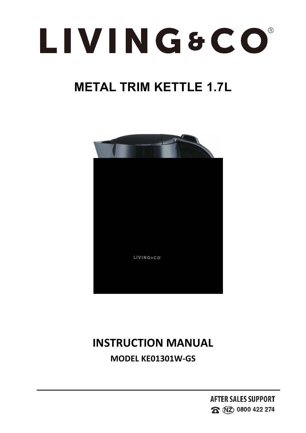

**INSTRUCTION MANUAL<br>
MODEL KE01301W-GS<br>
AFTER SALES SUPPORT EIVINGSCO**<br> **MODEL KE01301W-GS<br>
AFTER SJ<br>
AFTER SJ**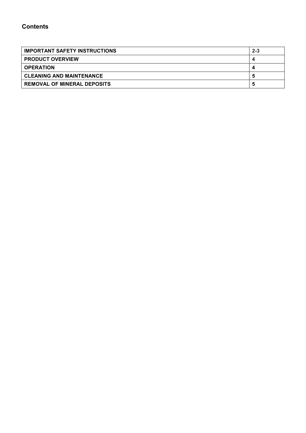# **Contents**

| <b>IMPORTANT SAFETY INSTRUCTIONS</b> | $2 - 3$ |
|--------------------------------------|---------|
| <b>PRODUCT OVERVIEW</b>              |         |
| <b>OPERATION</b>                     |         |
| CLEANING AND MAINTENANCE             |         |
| <b>REMOVAL OF MINERAL DEPOSITS</b>   |         |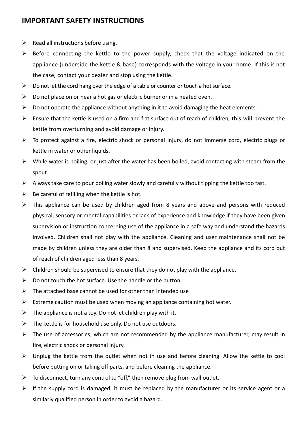# **IMPORTANT SAFETY INSTRUCTIONS**

- $\triangleright$  Read all instructions before using.
- $\triangleright$  Before connecting the kettle to the power supply, check that the voltage indicated on the appliance (underside the kettle & base) corresponds with the voltage in your home. If this is not the case, contact your dealer and stop using the kettle.
- $\triangleright$  Do not let the cord hang over the edge of a table or counter or touch a hot surface.
- $\triangleright$  Do not place on or near a hot gas or electric burner or in a heated oven.
- $\triangleright$  Do not operate the appliance without anything in it to avoid damaging the heat elements.
- $\triangleright$  Ensure that the kettle is used on a firm and flat surface out of reach of children, this will prevent the kettle from overturning and avoid damage or injury.
- $\triangleright$  To protect against a fire, electric shock or personal injury, do not immerse cord, electric plugs or kettle in water or other liquids.
- $\triangleright$  While water is boiling, or just after the water has been boiled, avoid contacting with steam from the spout.
- $\triangleright$  Always take care to pour boiling water slowly and carefully without tipping the kettle too fast.
- $\triangleright$  Be careful of refilling when the kettle is hot.
- $\triangleright$  This appliance can be used by children aged from 8 years and above and persons with reduced physical, sensory or mental capabilities or lack of experience and knowledge if they have been given supervision or instruction concerning use of the appliance in a safe way and understand the hazards involved. Children shall not play with the appliance. Cleaning and user maintenance shall not be made by children unless they are older than 8 and supervised. Keep the appliance and its cord out of reach of children aged less than 8 years.
- $\triangleright$  Children should be supervised to ensure that they do not play with the appliance.
- $\triangleright$  Do not touch the hot surface. Use the handle or the button.
- $\triangleright$  The attached base cannot be used for other than intended use
- $\triangleright$  Extreme caution must be used when moving an appliance containing hot water.
- $\triangleright$  The appliance is not a toy. Do not let children play with it.
- $\triangleright$  The kettle is for household use only. Do not use outdoors.
- $\triangleright$  The use of accessories, which are not recommended by the appliance manufacturer, may result in fire, electric shock or personal injury.
- $\triangleright$  Unplug the kettle from the outlet when not in use and before cleaning. Allow the kettle to cool before putting on or taking off parts, and before cleaning the appliance.
- $\triangleright$  To disconnect, turn any control to "off," then remove plug from wall outlet.
- $\triangleright$  If the supply cord is damaged, it must be replaced by the manufacturer or its service agent or a similarly qualified person in order to avoid a hazard.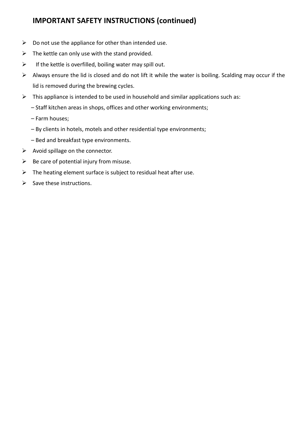# **IMPORTANT SAFETY INSTRUCTIONS (continued)**

- $\triangleright$  Do not use the appliance for other than intended use.
- $\triangleright$  The kettle can only use with the stand provided.
- $\triangleright$  If the kettle is overfilled, boiling water may spill out.
- $\triangleright$  Always ensure the lid is closed and do not lift it while the water is boiling. Scalding may occur if the lid is removed during the brewing cycles.
- $\triangleright$  This appliance is intended to be used in household and similar applications such as:
	- Staff kitchen areas in shops, offices and other working environments;
	- Farm houses;
	- By clients in hotels, motels and other residential type environments;
	- Bed and breakfast type environments.
- $\triangleright$  Avoid spillage on the connector.
- $\triangleright$  Be care of potential injury from misuse.
- $\triangleright$  The heating element surface is subject to residual heat after use.
- $\triangleright$  Save these instructions.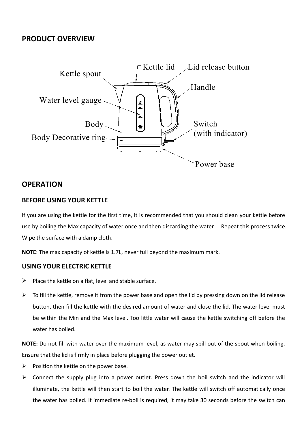# **PRODUCT OVERVIEW**



# **OPERATION**

### **BEFORE USING YOUR KETTLE**

If you are using the kettle for the first time, it is recommended that you should clean your kettle before use by boiling the Max capacity of water once and then discarding the water. Repeat this process twice.<br>Wipe the surface with a damp cloth.

**NOTE**: The max capacity of kettle is 1.7L, never full beyond the maximum mark.

### **USING YOUR ELECTRIC KETTLE**

- $\triangleright$  Place the kettle on a flat, level and stable surface.
- $\triangleright$  To fill the kettle, remove it from the power base and open the lid by pressing down on the lid release button, then fill the kettle with the desired amount of water and close the lid. The water level must be within the Min and the Max level. Too little water will cause the kettle switching off before the water has boiled.

**NOTE:** Do not fill with water over the maximum level, as water may spill out of the spout when boiling. Ensure that the lid is firmly in place before plugging the power outlet.

- $\triangleright$  Position the kettle on the power base.
- $\triangleright$  Connect the supply plug into a power outlet. Press down the boil switch and the indicator will illuminate, the kettle will then start to boil the water. The kettle will switch off automatically once the water has boiled. If immediate re-boil is required, it may take 30 seconds before the switch can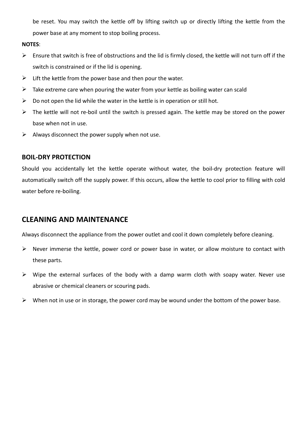be reset. You may switch the kettle off by lifting switch up or directly lifting the kettle from the power base at any moment to stop boiling process.

#### **NOTES**:

- $\triangleright$  Ensure that switch is free of obstructions and the lid is firmly closed, the kettle will not turn off if the switch is constrained or if the lid is opening.
- $\triangleright$  Lift the kettle from the power base and then pour the water.
- $\triangleright$  Take extreme care when pouring the water from your kettle as boiling water can scald
- $\triangleright$  Do not open the lid while the water in the kettle is in operation or still hot.
- $\triangleright$  The kettle will not re-boil until the switch is pressed again. The kettle may be stored on the power base when not in use.
- $\triangleright$  Always disconnect the power supply when not use.

#### **BOIL-DRY PROTECTION**

Should you accidentally let the kettle operate without water, the boil-dry protection feature will automatically switch off the supply power. If this occurs, allow the kettle to cool prior to filling with cold water before re-boiling.

## **CLEANING AND MAINTENANCE**

Always disconnect the appliance from the power outlet and cool it down completely before cleaning.

- $\triangleright$  Never immerse the kettle, power cord or power base in water, or allow moisture to contact with these parts.
- $\triangleright$  Wipe the external surfaces of the body with a damp warm cloth with soapy water. Never use abrasive or chemical cleaners or scouring pads.
- $\triangleright$  When not in use or in storage, the power cord may be wound under the bottom of the power base.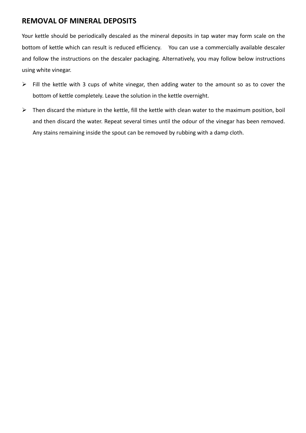# **REMOVAL OF MINERAL DEPOSITS**

Your kettle should be periodically descaled as the mineral deposits in tap water may form scale on the bottom of kettle which can result is reduced efficiency. You can use a commercially available descaler and follow the instructions on the descaler packaging. Alternatively, you may follow below instructions using white vinegar.

- $\triangleright$  Fill the kettle with 3 cups of white vinegar, then adding water to the amount so as to cover the bottom of kettle completely. Leave the solution in the kettle overnight.
- $\triangleright$  Then discard the mixture in the kettle, fill the kettle with clean water to the maximum position, boil and then discard the water. Repeat several times until the odour of the vinegar has been removed. Any stains remaining inside the spout can be removed by rubbing with a damp cloth.